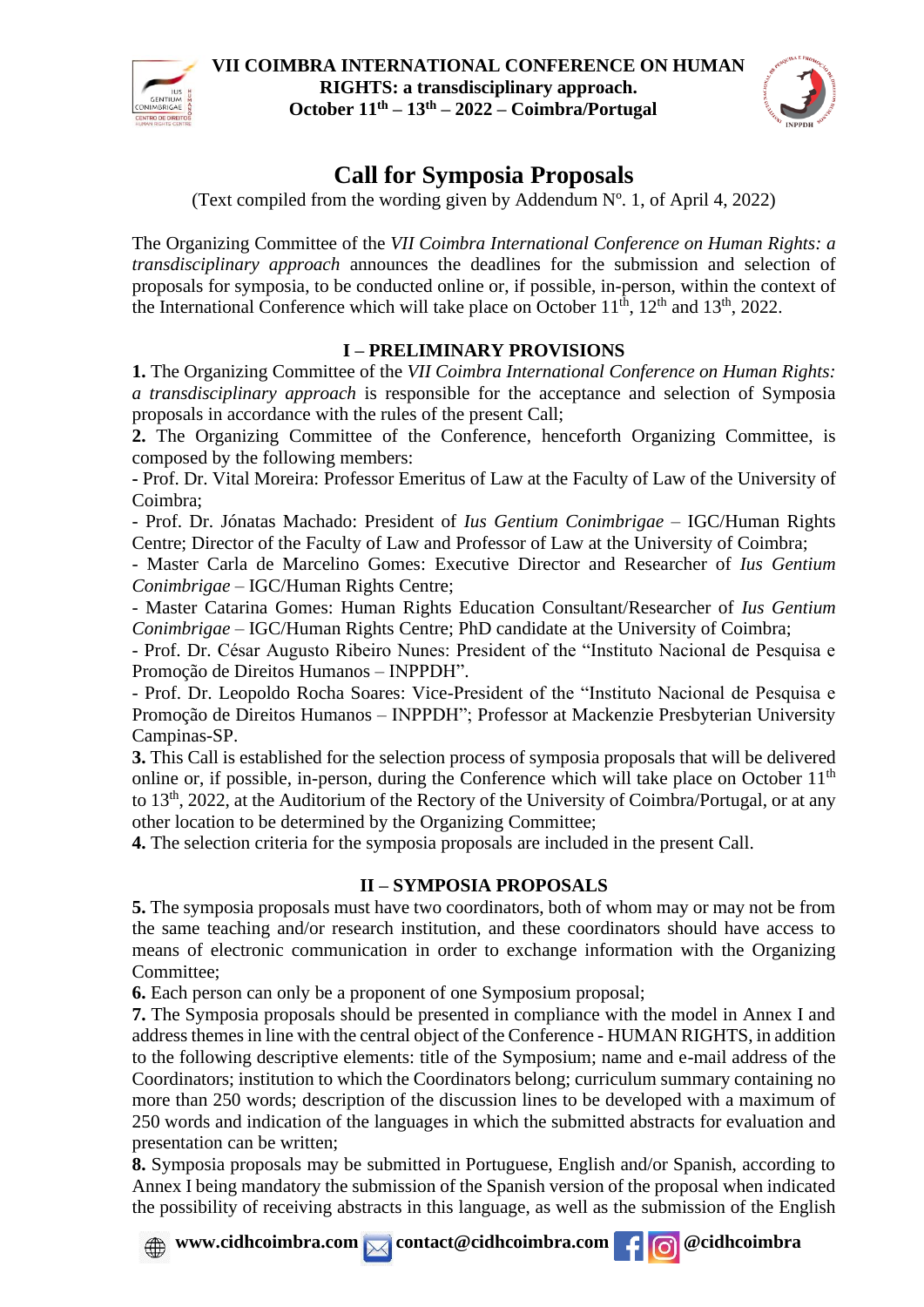

# **Call for Symposia Proposals**

(Text compiled from the wording given by Addendum  $N^{\circ}$ , 1, of April 4, 2022)

The Organizing Committee of the *VII Coimbra International Conference on Human Rights: a transdisciplinary approach* announces the deadlines for the submission and selection of proposals for symposia, to be conducted online or, if possible, in-person, within the context of the International Conference which will take place on October  $11<sup>th</sup>$ ,  $12<sup>th</sup>$  and  $13<sup>th</sup>$ , 2022.

#### **I – PRELIMINARY PROVISIONS**

**1.** The Organizing Committee of the *VII Coimbra International Conference on Human Rights: a transdisciplinary approach* is responsible for the acceptance and selection of Symposia proposals in accordance with the rules of the present Call;

**2.** The Organizing Committee of the Conference, henceforth Organizing Committee, is composed by the following members:

**-** Prof. Dr. Vital Moreira: Professor Emeritus of Law at the Faculty of Law of the University of Coimbra;

- Prof. Dr. Jónatas Machado: President of *Ius Gentium Conimbrigae* – IGC/Human Rights Centre; Director of the Faculty of Law and Professor of Law at the University of Coimbra;

- Master Carla de Marcelino Gomes: Executive Director and Researcher of *Ius Gentium Conimbrigae* – IGC/Human Rights Centre;

- Master Catarina Gomes: Human Rights Education Consultant/Researcher of *Ius Gentium Conimbrigae* – IGC/Human Rights Centre; PhD candidate at the University of Coimbra;

- Prof. Dr. César Augusto Ribeiro Nunes: President of the "Instituto Nacional de Pesquisa e Promoção de Direitos Humanos – INPPDH".

- Prof. Dr. Leopoldo Rocha Soares: Vice-President of the "Instituto Nacional de Pesquisa e Promoção de Direitos Humanos – INPPDH"; Professor at Mackenzie Presbyterian University Campinas-SP.

**3.** This Call is established for the selection process of symposia proposals that will be delivered online or, if possible, in-person, during the Conference which will take place on October 11<sup>th</sup> to 13<sup>th</sup>, 2022, at the Auditorium of the Rectory of the University of Coimbra/Portugal, or at any other location to be determined by the Organizing Committee;

**4.** The selection criteria for the symposia proposals are included in the present Call.

### **II – SYMPOSIA PROPOSALS**

**5.** The symposia proposals must have two coordinators, both of whom may or may not be from the same teaching and/or research institution, and these coordinators should have access to means of electronic communication in order to exchange information with the Organizing Committee;

**6.** Each person can only be a proponent of one Symposium proposal;

**7.** The Symposia proposals should be presented in compliance with the model in Annex I and address themes in line with the central object of the Conference - HUMAN RIGHTS, in addition to the following descriptive elements: title of the Symposium; name and e-mail address of the Coordinators; institution to which the Coordinators belong; curriculum summary containing no more than 250 words; description of the discussion lines to be developed with a maximum of 250 words and indication of the languages in which the submitted abstracts for evaluation and presentation can be written;

**8.** Symposia proposals may be submitted in Portuguese, English and/or Spanish, according to Annex I being mandatory the submission of the Spanish version of the proposal when indicated the possibility of receiving abstracts in this language, as well as the submission of the English

*A* www.cidhcoimbra.com  $\overline{\phantom{a}}$  contact@cidhcoimbra.com **f c c** dhcoimbra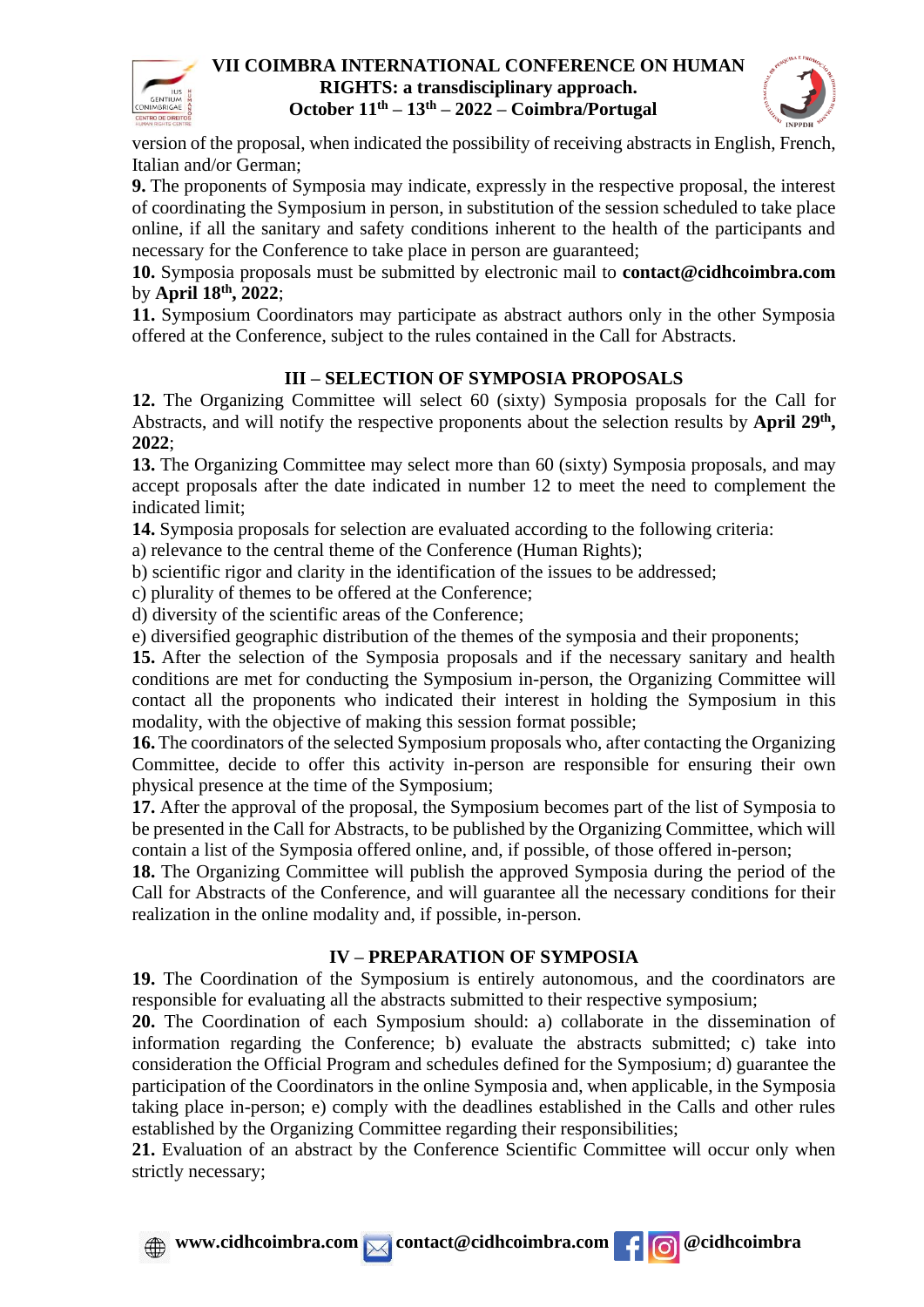



version of the proposal, when indicated the possibility of receiving abstracts in English, French, Italian and/or German;

**9.** The proponents of Symposia may indicate, expressly in the respective proposal, the interest of coordinating the Symposium in person, in substitution of the session scheduled to take place online, if all the sanitary and safety conditions inherent to the health of the participants and necessary for the Conference to take place in person are guaranteed;

**10.** Symposia proposals must be submitted by electronic mail to **contact@cidhcoimbra.com** by **April 18th , 2022**;

**11.** Symposium Coordinators may participate as abstract authors only in the other Symposia offered at the Conference, subject to the rules contained in the Call for Abstracts.

#### **III – SELECTION OF SYMPOSIA PROPOSALS**

**12.** The Organizing Committee will select 60 (sixty) Symposia proposals for the Call for Abstracts, and will notify the respective proponents about the selection results by **April 29th , 2022**;

**13.** The Organizing Committee may select more than 60 (sixty) Symposia proposals, and may accept proposals after the date indicated in number 12 to meet the need to complement the indicated limit;

**14.** Symposia proposals for selection are evaluated according to the following criteria:

a) relevance to the central theme of the Conference (Human Rights);

b) scientific rigor and clarity in the identification of the issues to be addressed;

c) plurality of themes to be offered at the Conference;

d) diversity of the scientific areas of the Conference;

e) diversified geographic distribution of the themes of the symposia and their proponents;

**15.** After the selection of the Symposia proposals and if the necessary sanitary and health conditions are met for conducting the Symposium in-person, the Organizing Committee will contact all the proponents who indicated their interest in holding the Symposium in this modality, with the objective of making this session format possible;

**16.** The coordinators of the selected Symposium proposals who, after contacting the Organizing Committee, decide to offer this activity in-person are responsible for ensuring their own physical presence at the time of the Symposium;

**17.** After the approval of the proposal, the Symposium becomes part of the list of Symposia to be presented in the Call for Abstracts, to be published by the Organizing Committee, which will contain a list of the Symposia offered online, and, if possible, of those offered in-person;

**18.** The Organizing Committee will publish the approved Symposia during the period of the Call for Abstracts of the Conference, and will guarantee all the necessary conditions for their realization in the online modality and, if possible, in-person.

#### **IV – PREPARATION OF SYMPOSIA**

**19.** The Coordination of the Symposium is entirely autonomous, and the coordinators are responsible for evaluating all the abstracts submitted to their respective symposium;

**20.** The Coordination of each Symposium should: a) collaborate in the dissemination of information regarding the Conference; b) evaluate the abstracts submitted; c) take into consideration the Official Program and schedules defined for the Symposium; d) guarantee the participation of the Coordinators in the online Symposia and, when applicable, in the Symposia taking place in-person; e) comply with the deadlines established in the Calls and other rules established by the Organizing Committee regarding their responsibilities;

**21.** Evaluation of an abstract by the Conference Scientific Committee will occur only when strictly necessary;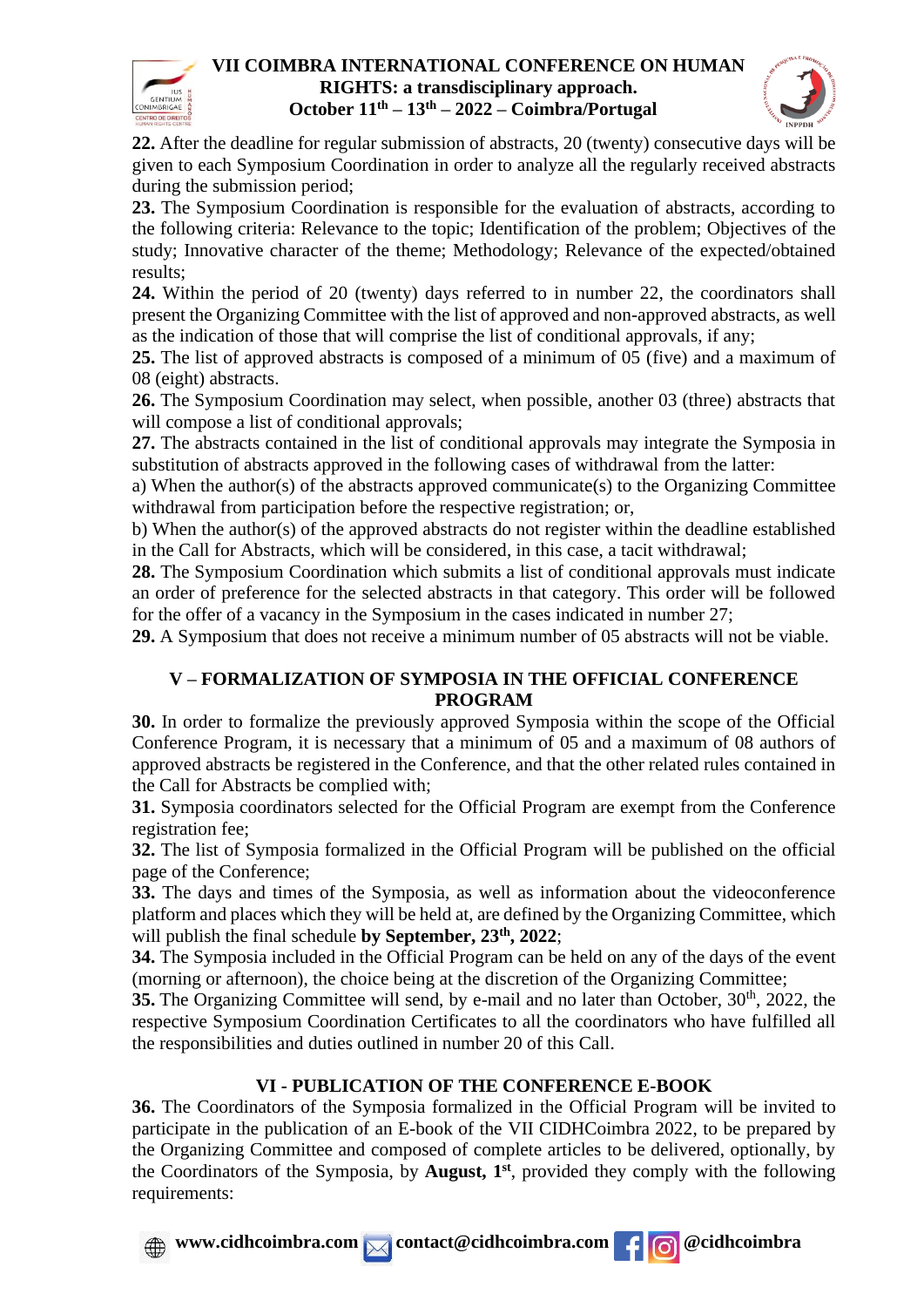



**22.** After the deadline for regular submission of abstracts, 20 (twenty) consecutive days will be given to each Symposium Coordination in order to analyze all the regularly received abstracts during the submission period;

**23.** The Symposium Coordination is responsible for the evaluation of abstracts, according to the following criteria: Relevance to the topic; Identification of the problem; Objectives of the study; Innovative character of the theme; Methodology; Relevance of the expected/obtained results;

**24.** Within the period of 20 (twenty) days referred to in number 22, the coordinators shall present the Organizing Committee with the list of approved and non-approved abstracts, as well as the indication of those that will comprise the list of conditional approvals, if any;

**25.** The list of approved abstracts is composed of a minimum of 05 (five) and a maximum of 08 (eight) abstracts.

**26.** The Symposium Coordination may select, when possible, another 03 (three) abstracts that will compose a list of conditional approvals;

**27.** The abstracts contained in the list of conditional approvals may integrate the Symposia in substitution of abstracts approved in the following cases of withdrawal from the latter:

a) When the author(s) of the abstracts approved communicate(s) to the Organizing Committee withdrawal from participation before the respective registration; or,

b) When the author(s) of the approved abstracts do not register within the deadline established in the Call for Abstracts, which will be considered, in this case, a tacit withdrawal;

**28.** The Symposium Coordination which submits a list of conditional approvals must indicate an order of preference for the selected abstracts in that category. This order will be followed for the offer of a vacancy in the Symposium in the cases indicated in number 27;

**29.** A Symposium that does not receive a minimum number of 05 abstracts will not be viable.

#### **V – FORMALIZATION OF SYMPOSIA IN THE OFFICIAL CONFERENCE PROGRAM**

**30.** In order to formalize the previously approved Symposia within the scope of the Official Conference Program, it is necessary that a minimum of 05 and a maximum of 08 authors of approved abstracts be registered in the Conference, and that the other related rules contained in the Call for Abstracts be complied with;

**31.** Symposia coordinators selected for the Official Program are exempt from the Conference registration fee;

**32.** The list of Symposia formalized in the Official Program will be published on the official page of the Conference;

**33.** The days and times of the Symposia, as well as information about the videoconference platform and places which they will be held at, are defined by the Organizing Committee, which will publish the final schedule **by September, 23 th, 2022**;

**34.** The Symposia included in the Official Program can be held on any of the days of the event (morning or afternoon), the choice being at the discretion of the Organizing Committee;

**35.** The Organizing Committee will send, by e-mail and no later than October, 30<sup>th</sup>, 2022, the respective Symposium Coordination Certificates to all the coordinators who have fulfilled all the responsibilities and duties outlined in number 20 of this Call.

#### **VI - PUBLICATION OF THE CONFERENCE E-BOOK**

**36.** The Coordinators of the Symposia formalized in the Official Program will be invited to participate in the publication of an E-book of the VII CIDHCoimbra 2022, to be prepared by the Organizing Committee and composed of complete articles to be delivered, optionally, by the Coordinators of the Symposia, by **August, 1 st**, provided they comply with the following requirements:

*www.cidhcoimbra.com* **contact@cidhcoimbra.com contact@cidhcoimbra.com cidhcoimbra**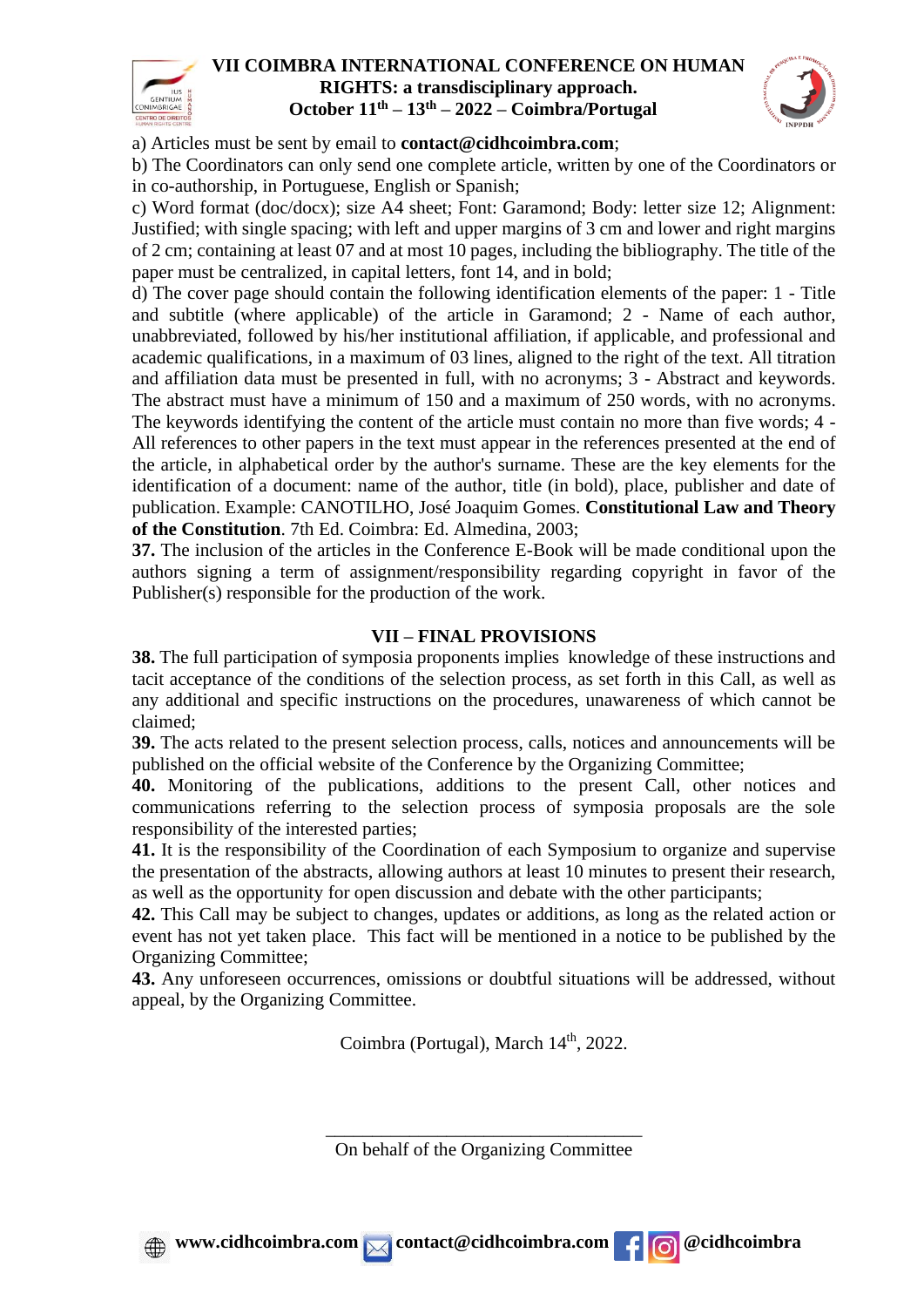



a) Articles must be sent by email to **contact@cidhcoimbra.com**;

b) The Coordinators can only send one complete article, written by one of the Coordinators or in co-authorship, in Portuguese, English or Spanish;

c) Word format (doc/docx); size A4 sheet; Font: Garamond; Body: letter size 12; Alignment: Justified; with single spacing; with left and upper margins of 3 cm and lower and right margins of 2 cm; containing at least 07 and at most 10 pages, including the bibliography. The title of the paper must be centralized, in capital letters, font 14, and in bold;

d) The cover page should contain the following identification elements of the paper: 1 - Title and subtitle (where applicable) of the article in Garamond; 2 - Name of each author, unabbreviated, followed by his/her institutional affiliation, if applicable, and professional and academic qualifications, in a maximum of 03 lines, aligned to the right of the text. All titration and affiliation data must be presented in full, with no acronyms; 3 - Abstract and keywords. The abstract must have a minimum of 150 and a maximum of 250 words, with no acronyms. The keywords identifying the content of the article must contain no more than five words; 4 - All references to other papers in the text must appear in the references presented at the end of the article, in alphabetical order by the author's surname. These are the key elements for the identification of a document: name of the author, title (in bold), place, publisher and date of publication. Example: CANOTILHO, José Joaquim Gomes. **Constitutional Law and Theory of the Constitution**. 7th Ed. Coimbra: Ed. Almedina, 2003;

**37.** The inclusion of the articles in the Conference E-Book will be made conditional upon the authors signing a term of assignment/responsibility regarding copyright in favor of the Publisher(s) responsible for the production of the work.

#### **VII – FINAL PROVISIONS**

**38.** The full participation of symposia proponents implies knowledge of these instructions and tacit acceptance of the conditions of the selection process, as set forth in this Call, as well as any additional and specific instructions on the procedures, unawareness of which cannot be claimed;

**39.** The acts related to the present selection process, calls, notices and announcements will be published on the official website of the Conference by the Organizing Committee;

**40.** Monitoring of the publications, additions to the present Call, other notices and communications referring to the selection process of symposia proposals are the sole responsibility of the interested parties;

**41.** It is the responsibility of the Coordination of each Symposium to organize and supervise the presentation of the abstracts, allowing authors at least 10 minutes to present their research, as well as the opportunity for open discussion and debate with the other participants;

**42.** This Call may be subject to changes, updates or additions, as long as the related action or event has not yet taken place. This fact will be mentioned in a notice to be published by the Organizing Committee;

**43.** Any unforeseen occurrences, omissions or doubtful situations will be addressed, without appeal, by the Organizing Committee.

Coimbra (Portugal), March  $14<sup>th</sup>$ , 2022.

\_\_\_\_\_\_\_\_\_\_\_\_\_\_\_\_\_\_\_\_\_\_\_\_\_\_\_\_\_\_\_\_\_\_ On behalf of the Organizing Committee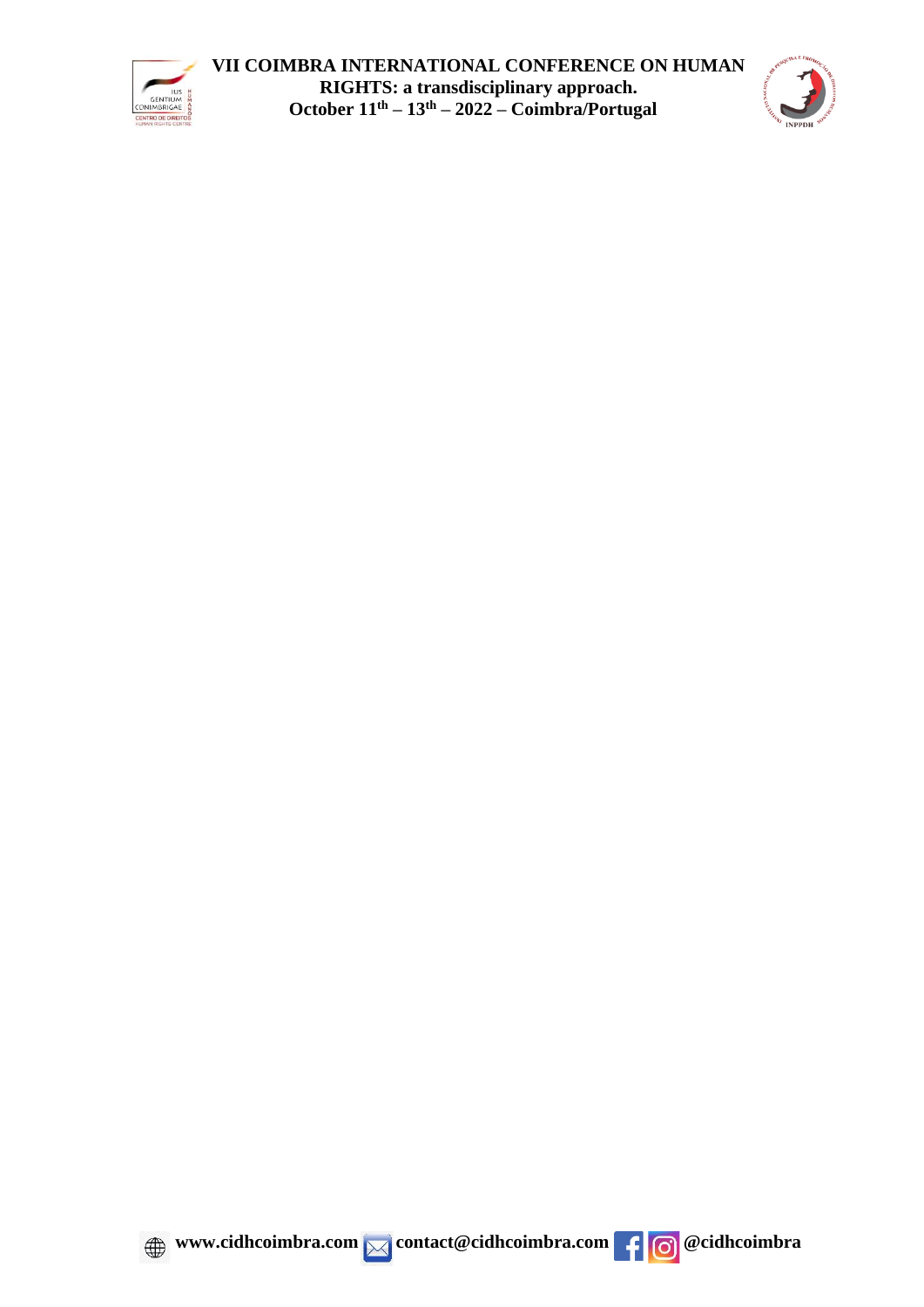





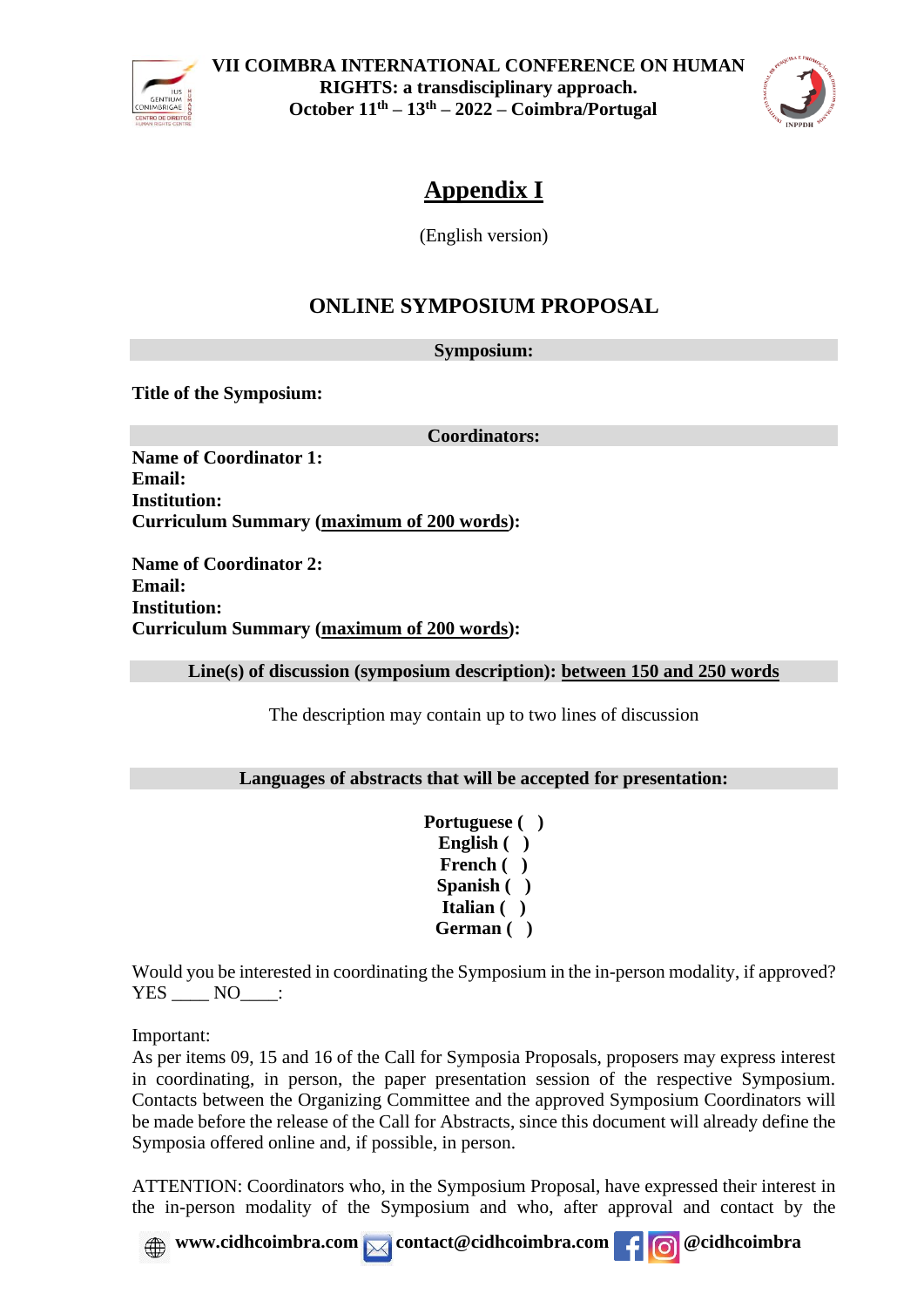



# **Appendix I**

(English version)

# **ONLINE SYMPOSIUM PROPOSAL**

**Symposium:**

**Title of the Symposium:**

**Coordinators:**

**Name of Coordinator 1: Email: Institution: Curriculum Summary (maximum of 200 words):**

**Name of Coordinator 2: Email: Institution: Curriculum Summary (maximum of 200 words):**

**Line(s) of discussion (symposium description): between 150 and 250 words**

The description may contain up to two lines of discussion

#### **Languages of abstracts that will be accepted for presentation:**

**Portuguese ( ) English ( ) French ( ) Spanish ( ) Italian ( ) German ( )**

Would you be interested in coordinating the Symposium in the in-person modality, if approved? YES NO :

Important:

As per items 09, 15 and 16 of the Call for Symposia Proposals, proposers may express interest in coordinating, in person, the paper presentation session of the respective Symposium. Contacts between the Organizing Committee and the approved Symposium Coordinators will be made before the release of the Call for Abstracts, since this document will already define the Symposia offered online and, if possible, in person.

ATTENTION: Coordinators who, in the Symposium Proposal, have expressed their interest in the in-person modality of the Symposium and who, after approval and contact by the

*www.cidhcoimbra.com* **contact@cidhcoimbra.com f contact@cidhcoimbra.com 6 cidhcoimbra**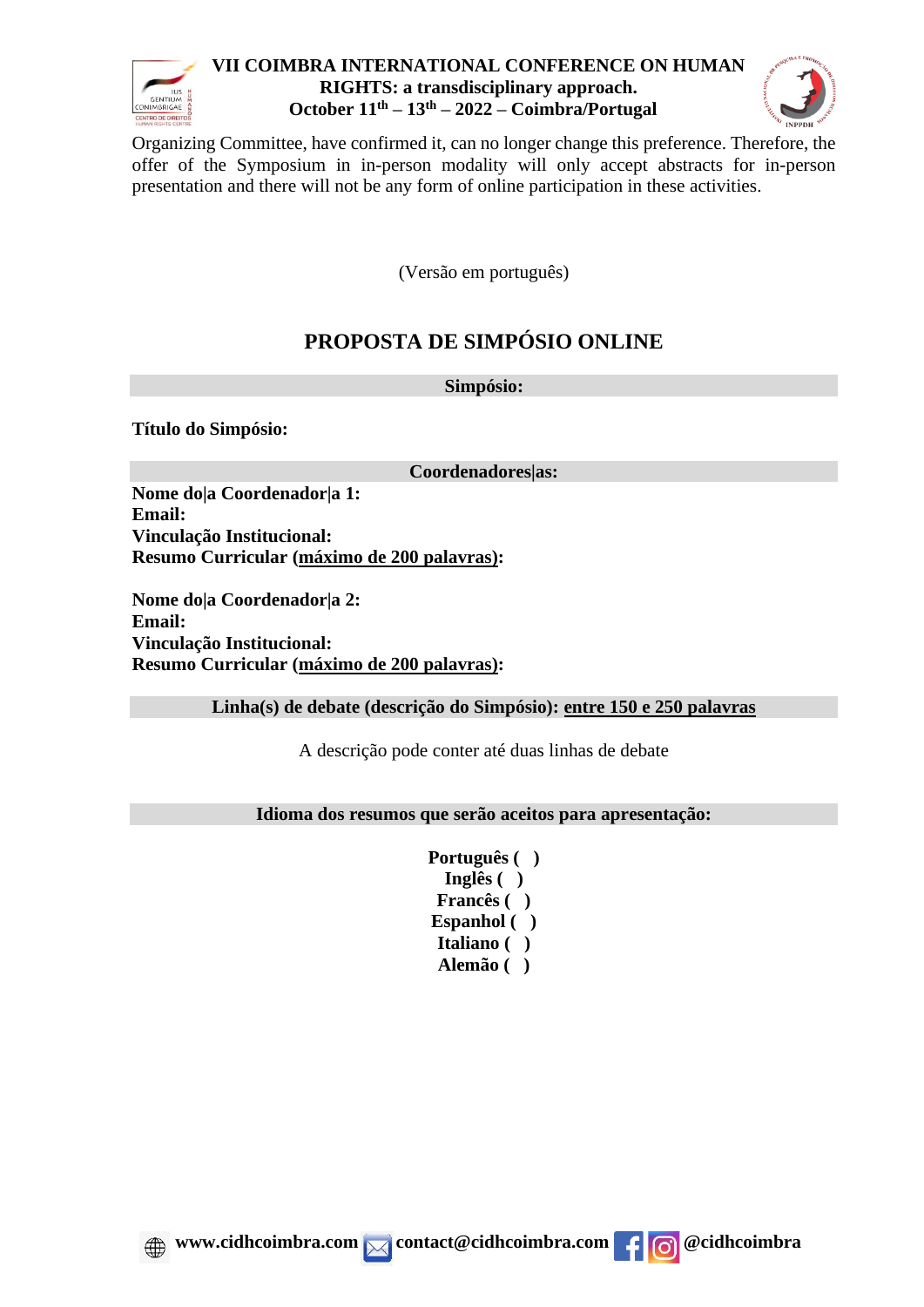



Organizing Committee, have confirmed it, can no longer change this preference. Therefore, the offer of the Symposium in in-person modality will only accept abstracts for in-person presentation and there will not be any form of online participation in these activities.

(Versão em português)

# **PROPOSTA DE SIMPÓSIO ONLINE**

**Simpósio:**

**Título do Simpósio:**

**Coordenadores|as:**

**Nome do|a Coordenador|a 1: Email: Vinculação Institucional: Resumo Curricular (máximo de 200 palavras):**

**Nome do|a Coordenador|a 2: Email: Vinculação Institucional: Resumo Curricular (máximo de 200 palavras):**

**Linha(s) de debate (descrição do Simpósio): entre 150 e 250 palavras**

A descrição pode conter até duas linhas de debate

**Idioma dos resumos que serão aceitos para apresentação:**

**Português ( ) Inglês ( ) Francês ( ) Espanhol ( ) Italiano ( ) Alemão ( )**

**A** www.cidhcoimbra.com contact@cidhcoimbra.com **f c c** dhcoimbra